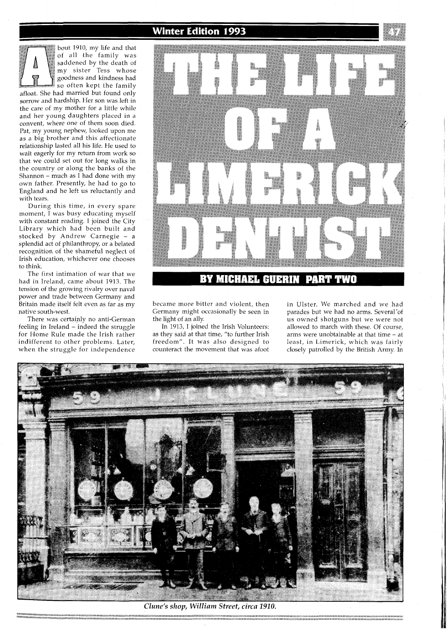# **Winter Edition 1993**



bout 1910, my life and that of all the family was <sup>1</sup>saddened by the death of \*my sister Tess whose goodness and kindness had so often kept the family

afloat. She had married but found only sorrow and hardship. Her son was left in the care of my mother for a little while and her young daughters placed in a convent, where one of them soon died. Pat, my young nephew, looked upon me as a big brother and this' affectionate relationship lasted all his life. He used to wait eagerly for my return from work so that we could set out for long walks in the country or along the banks of the Shannon - much as I had done with my own father. Presently, he had to go to England and he left us reluctantly and with tears.

During this time, in every spare moment, I was busy educating myself with constant reading. I joined the City Library which had been built and stocked by Andrew Carnegie - <sup>a</sup> splendid act of philanthropy, or a belated recognition of the shameful neglect of Irish education, whichever one chooses to think.

The first intimation of war that we had in Ireland, came about 1913. The tension of the growing rivalry over naval power and trade between Germany and Britain made itself felt even as far as my native south-west.

There was certainly no anti-German feeling in Ireland - indeed the struggle for Home Rule made the Irish rather indifferent to other problems. Later, when the struggle for independence



became more bitter and violent, then in Ulster. We marched and we had Germany might occasionally be seen in parades but we had no arms. Several'of Germany might occasionally be seen in parades but we had no arms. Several'of the light of an ally.  $\frac{1}{10}$  us owned shotguns but we were not the light of an ally.<br>In 1913, I joined the Irish Volunteers: allowed to march with these. Of course, In 1913, I joined the Irish Volunteers: allowed to march with these. Of course, as they said at that time, "to further Irish arms were unobtainable at that time – at as they said at that time, "to further Irish arms were unobtainable at that time - at freedom". It was also designed to least, in Limerick, which was fairly least, in Limerick, which was fairly counteract the movement that was afoot closely patrolled by the British Army. In



*Clune's shop, William Street, circa 1910.*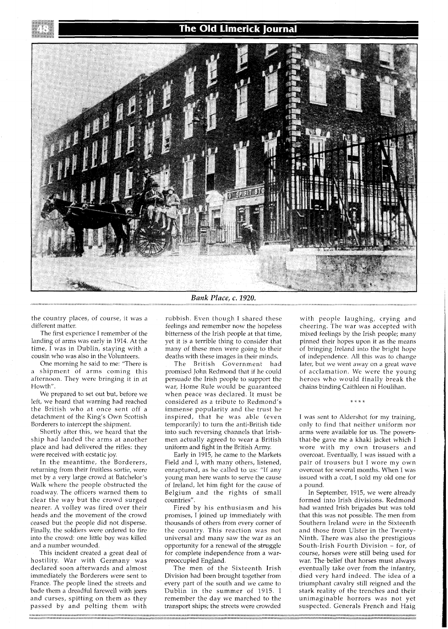#### **The Old Limerick Journal**



Bank Place, c. 1920.

the country places, of course, it was a different matter.

The first experience I remember of the landing of arms was early in 1914. At the time, I was in Dublin, staying with a cousin who was also in the Volunteers.

One morning he said to me: "There is a shipment of arms coming this afternoon. They were bringing it in at Howth".

We prepared to set out but, before we left, we heard that warning had reached the British who at once sent off a detachment of the King's Own Scottish Borderers to intercept the shipment.

Shortly after this, we heard that the ship had landed the arms at another place and had delivered the rifles: they were received with ecstatic joy.

In the meantime, the Borderers, returning from their fruitless sortie, were met by a very large crowd at Batchelor's Walk where the people obstructed the roadway. The officers warned them to clear the way but the crowd surged nearer. A volley was fired over their heads and the movement of the crowd ceased but the people did not disperse. Finally, the soldiers were ordered to fire into the crowd: one little boy was killed and a number wounded.

'This incident created a great deal of hostility. War with Germany was declared soon afterwards and almost immediately the Borderers were sent to France. The people lined the streets and bade them a dreadful farewell with jeers and curses, spitting on them as they passed by and pelting them with

rubbish. Even though I shared these feelings and remember now the hopeless bitterness of the Irish people at that time, yet it is a terrible thing to consider that many of these men were going to their deaths with these images in their minds.

The British Government had promised John Redmond that if he could persuade the Irish people to support the war, Home Rule would be guaranteed when peace was declared. It must be considered as a tribute to Redmond's immense popularity and the trust he inspired, that he was able (even temporarily) to turn the anti-British tide into such reversing channels that Irishmen actually agreed to wear a British uniform and fight in the British Army.

Early in 1915, he came to the Markets Field and I, with many others, listened, enraptured, as he called to us: "If any young man here wants to serve the cause of Ireland, let him fight for the cause of Belgium and the rights of small countries".

Fired by his enthusiasm and his promises, I joined up immediately with thousands of others from every corner of the country. This reaction was not universal and many saw the war as an opportunity for a renewal of the struggle for complete independence from a warpreoccupied England.

The men of the Sixteenth Irish Division had been brought together from every part of the south and we came to Dublin in the summer of 1915. I remember the day we marched to the transport ships; the streets were crowded

with people laughing, crying and cheering. The war was accepted with mixed feelings by the Irish people; many pinned their hopes upon it as the means of bringing Ireland into the bright hope of independence. All this was to change later, but we went away on a great wave of acclamation. We were the young heroes who would finally break the chains binding Caithleen ni Houlihan.

I was sent to Aldershot for my training, only to find that neither uniform nor arms were available for us. The powersthat-be gave me a khaki jacket which I wore with my own trousers and overcoat. Eventually, I was issued with a pair of trousers but I wore my own overcoat for several months. When I was issued with a coat, I sold my old one for a pound.

In September, 1915, we were already formed into Irish divisions. Redmond had wanted Irish brigades but was told that this was not possible. The men from Southern Ireland were in the Sixteenth and those from Ulster in the Twenty-Ninth. There was also the prestigious South-Irish Fourth Division - for, of course, horses were still being used for war. The belief that horses must always eventually take over from the infantry, died very hard indeed. The idea of a triumphant cavalry still reigned and the stark reality of the trenches and their unimaginable horrors was not yet suspected. Generals French and Haig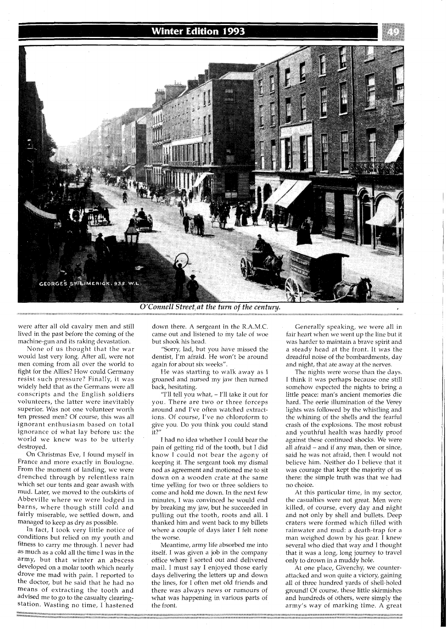## **Winter Edition 1993**



O'Connell Street, at the turn of the century.

were after all old cavalry men and still lived in the past before the coming of the machine-gun and its raking devastation.

None of us thought that the war would last very long. After all, were not men coming from all over the world to fight for the Allies? How could Germany resist such pressure? Finally, it was widely held that as the Germans were all conscripts and the English soldiers volunteers, the latter were inevitably superior. Was not one volunteer worth ten pressed men? Of course, this was all ignorant enthusiasm based on total ignorance of what lay before us: the world we knew was to be utterly destroyed.

On Christmas Eve, I found myself in France and more exactly in Boulogne. From the moment of landing, we were drenched through by relentless rain which set our tents and gear awash with mud. Later, we moved to the outskirts of Abbeville where we were lodged in barns, where though still cold and fairly miserable, we settled down, and managed to keep as dry as possible.

In fact, I took very little notice of conditions but relied on my youth and fitness to carry me through. I never had as much as a cold all the time I was in the army, but that winter an abscess developed on a molar tooth which nearly drove me mad with pain. I reported to the doctor, but he said that he had no means of extracting the tooth and advised me to go to the casualty clearingstation. Wasting no time, I hastened

down there. A sergeant in the R.A.M.C. came out and listened to my tale of woe but shook his head.

"Sorry, lad, but you have missed the dentist, I'm afraid. He won't be around again for about six weeks".

He was starting to walk away as I groaned and nursed my jaw then turned back, hesitating.

"I'll tell you what,  $-$  I'll take it out for you. There are two or three forceps around and I've often watched extractions. Of course, I've no chloroform to give you. Do you think you could stand it?"

I had no idea whether I could bear the pain of getting rid of the tooth, but I did know I could not bear the agony of keeping it. The sergeant took my dismal nod as agreement and motioned me to sit down on a wooden crate at the same time yelling for two or three soldiers to come and hold me down. In the next few minutes, I was convinced he would end by breaking my jaw, but he succeeded in pulling out the tooth, roots and all. I thanked him and went back to my billets where a couple of days later I felt none the worse.

Meantime, army life absorbed me into itself. I was given a job in the company office where I sorted out and delivered mail. I must say I enjoyed those early days delivering the letters up and down the lines, for I often met old friends and there was always news or rumours of what was happening in various parts of the front.

Generally speaking, we were all in fair heart when we went up the line but it was harder to maintain a brave spirit and a steady head at the front. It was the dreadful noise of the bombardments, day and night, that ate away at the nerves.

The nights were worse than the days. I think it was perhaps because one still somehow expected the nights to bring a little peace: man's ancient memories die hard. The eerie illumination of the Verey lights was followed by the whistling and the whining of the shells and the fearful crash of the explosions. The most robust and youthful health was hardly proof against these continued shocks. We were all afraid - and if any man, then or since, said he was not afraid, then I would not believe him. Neither do I believe that it was courage that kept the majority of us there: the simple truth was that we had no choice.

At this particular time, in my sector, the casualties were not great. Men were killed, of course, every day and night and not only by shell and bullets. Deep craters were formed which filled with rainwater and mud: a death-trap for a man weighed down by his gear. I knew several who died that way and I thought that it was a long, long journey to travel only to drown in a muddy hole.

At one place, Givenchy, we counterattacked and won quite a victory, gaining all of three hundred yards of shell-holed ground! Of course, these little skirmishes and hundreds of others, were simply the army's way of marking time. A great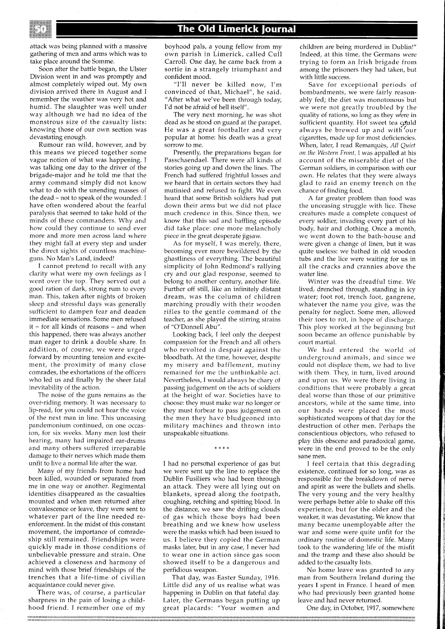## **The Old Limerick Journal**

attack was being planned with a massive gathering of men and arms which was to take place around the Somme.

Soon after the battle began, the Ulster Division went in and was promptly and almost completely wiped out. My own division arrived there in August and I remember the weather was very hot and humid. The slaughter was well under way although we had no idea of the monstrous size of the casualty lists: knowing those of our own section was devastating enough.

Rumour ran wild, however, and by this means we pieced together some vague notion of what was happening. I was talking one day to the driver of the brigade-major and he told me that the army command simply did not know what to do with the unending masses of the dead - not to speak of the wounded. I have often wondered about the fearful paralysis that seemed to take hold of the minds of these commanders. Why and how could they continue to send ever more and more men across land where they might fall at every step and under the direct sights of countless machineguns. No Man's Land, indeed!

I cannot pretend to recall with any clarity what were my own feelings as I went over the top. They served out a good ration of dark, strong rum to every man. This, taken after nights of broken sleep and stressful days was generally sufficient to dampen fear and deaden immediate sensations. Some men refused  $it$  – for all kinds of reasons – and when this happened, there was always another man eager to drink a double share. In addition, of course, we were urged forward by mounting tension and excitement, the proximity of many close comrades, the exhortations of the officers who led us and finally by the sheer fatal inevitability of the action.

The noise of the guns remains as the over-riding memory. It was necessary to lip-read, for you could not hear the voice of the next man in line. This unceasing pandemonium continued, on one occasion, for six weeks. Many men lost their hearing, many had impaired ear-drums and many others suffered irreparable damage to their nerves which made them unfit to live a normal life after the war.

Many of my friends from home had been killed, wounded or separated from me in one way or another. Regimental identities disappeared as the casualties mounted and when men returned after convalescence or leave, they were sent to whatever part of the line needed reenforcement. In the midst of this constant movement, the importance of comradeship still remained. Friendships were quickly made in those conditions of unbelievable pressure and strain. One achieved a closeness and harmony of mind with those brief friendships of the trenches that a life-time of civilian acquaintance could never give.

There was, of course, a particular sharpness in the pain of losing a childhood friend. I remember one of my boyhood pals, a young fellow from my own parish in Limerick, called Cull Carroll. One day, he came back from a sortie in a strangely triumphant and confident mood.

"I'll never be killed now, I'm convinced of that, Michael", he said. "After what we've been through today, I'd not be afraid of hell itself".

The very next morning, he was shot dead as he stood on guard at the parapet. He was a great footballer and very popular at home: his death was a great sorrow to me.

Presently, the preparations began for Passchaendael. There were all kinds of stories going up and down the lines. The French had suffered frightful losses and we heard that in certain sectors they had mutinied and refused to fight. We even heard that some British soldiers had put down their arms but we did not place much credence in this. Since then, we know that this sad and baffling episode did take place: one more melancholy piece in the great desperate jigsaw.

As for myself, I was merely, there, becoming ever more bewildered by the ghastliness of everything. The beautiful simplicity of John Redmond's rallying cry and our glad response, seemed to belong to another century, another life. Further off still, like an infinitely distant dream, was the column of children marching proudly with their wooden rifles to the gentle command of the teacher, as she played the stirring strains of "O'Donnell Abu".

Looking back, I feel only the deepest compassion for the French and all others who revolted in despair against the bloodbath. At the time, however, despite my misery and bafflement, mutiny remained for me the unthinkable act. Nevertheless, I would always be chary of passing judgement on the acts of soldiers at the height of war. Societies have to choose: they must make war no longer or they must forbear to pass judgement on the men they have bludgeoned into military machines and thrown into unspeakable situations.

\* \* \* \*

I had no personal experience of gas but we were sent up the line to replace the Dublin Fusiliers who had been through an attack. They were all lying out on blankets, spread along the footpath, coughing, retching and spitting blood. In the distance, we saw the drifting clouds of gas which those boys had been breathing and we knew how useless were the masks which had been issued to us. I believe they copied the German masks later, but in any case, I never had to wear one in action since gas soon showed itself to be a dangerous and perfidious weapon.

That day, was Easter Sunday, 1916. Little did any of us realise what was happening in Dublin on that fateful day. Later, the Germans began putting up great placards: "Your women and children are being murdered in Dublin!" Indeed, at this time, the Germans were trying to form an Irish brigade from among the prisoners they had taken, but with little success.

Save for exceptional periods of bombardments, we were fairly reasonably fed; the diet was monotonous but we were not greatly troubled by the quality of rations, so long as they were in sufficient quantity. Hot sweet tea could always be brewed up and with'our cigarettes, made up for most deficiencies. When, later, I read Remarquès, All Quiet *on the Western Front,* I was appalled at his account of the miserable diet of the German soldiers, in comparison with our own. He relates that they were always glad to raid an enemy trench on the chance of finding food.

A far greater problem than food was the unceasing struggle with lice. These creatures made a complete conquest of every soldier, invading every part of his body, hair and clothing. Once a month, we went down to the bath-house and were given a change of linen, but it was quite useless: we bathed in old wooden tubs and the lice were waiting for us in all the cracks and crannies above the water line.

Winter was the dreadful time. We lived, drenched through, standing in icy water; foot rot, trench foot, gangrene, whatever the name you give, was the penalty for neglect. Some men, allowed their toes to rot, in hope of discharge. This ploy worked at the beginning but soon became an offence punishable by court martial.

We had entered the world of underground animals, and since we could not displace them, we had to live with them. They, in turn, lived around and upon us. We were there living in conditions that were probably a great deal worse than those of our primitive ancestors, while at the same time, into our hands were placed the most sophisticated weapons of that day for the destruction of other men. Perhaps the conscientious objectors, who refused to play this obscene and paradoxical game, were in the end proved to be the only sane men.

I feel certain that this degrading existence, continued for so long, was as responsible for the breakdown of nerve and spirit as were the bullets and shells. The very young and the very healthy were perhaps better able to shake off this experience, but for the older and the weaker, it was devastating. We know that many became unemployable after the war and some were quite unfit for the ordinary routine of domestic life. Many took to the wandering life of the misfit and the tramp and these also should be added to the casualty lists.

No home leave was granted to any man from Southern Ireland during the years I spent in France. I heard of men who had previously been granted home leave and had never returned.

One day, in October, 1917, somewhere